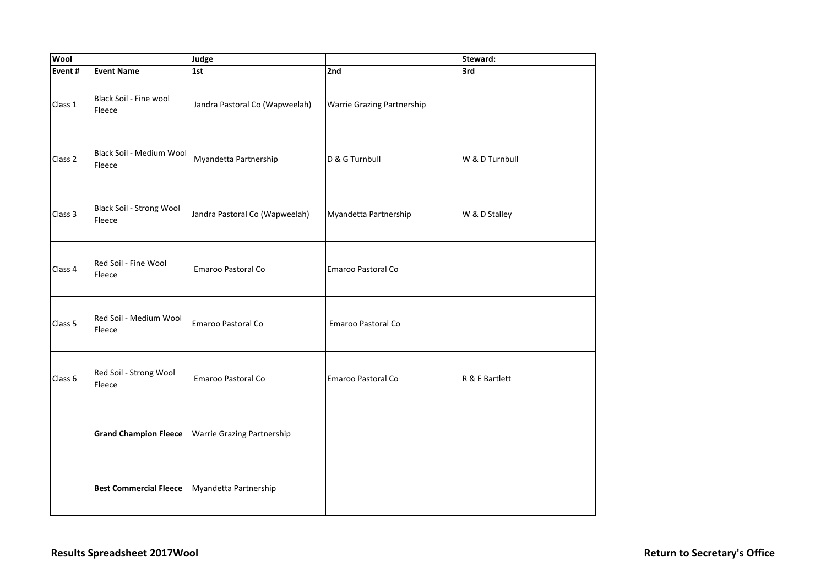| <b>Wool</b> |                                    | <b>Judge</b>                      |                                   | Steward:       |
|-------------|------------------------------------|-----------------------------------|-----------------------------------|----------------|
| Event#      | <b>Event Name</b>                  | 1st                               | 2nd                               | 3rd            |
| Class 1     | Black Soil - Fine wool<br>Fleece   | Jandra Pastoral Co (Wapweelah)    | <b>Warrie Grazing Partnership</b> |                |
| Class 2     | Black Soil - Medium Wool<br>Fleece | Myandetta Partnership             | D & G Turnbull                    | W & D Turnbull |
| Class 3     | Black Soil - Strong Wool<br>Fleece | Jandra Pastoral Co (Wapweelah)    | Myandetta Partnership             | W & D Stalley  |
| Class 4     | Red Soil - Fine Wool<br>Fleece     | Emaroo Pastoral Co                | Emaroo Pastoral Co                |                |
| Class 5     | Red Soil - Medium Wool<br>Fleece   | Emaroo Pastoral Co                | Emaroo Pastoral Co                |                |
| Class 6     | Red Soil - Strong Wool<br>Fleece   | Emaroo Pastoral Co                | Emaroo Pastoral Co                | R & E Bartlett |
|             | <b>Grand Champion Fleece</b>       | <b>Warrie Grazing Partnership</b> |                                   |                |
|             | <b>Best Commercial Fleece</b>      | Myandetta Partnership             |                                   |                |